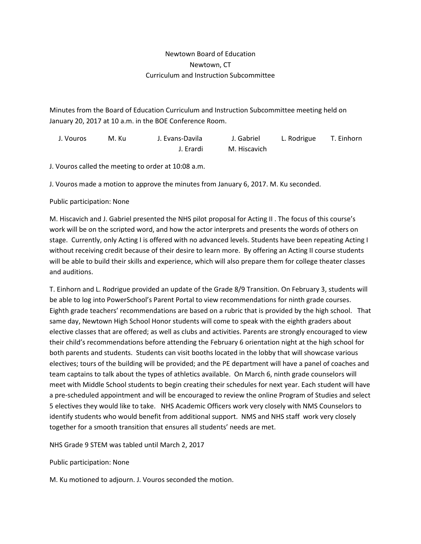## Newtown Board of Education Newtown, CT Curriculum and Instruction Subcommittee

Minutes from the Board of Education Curriculum and Instruction Subcommittee meeting held on January 20, 2017 at 10 a.m. in the BOE Conference Room.

| J. Vouros | M. Ku | J. Evans-Davila | J. Gabriel   | L. Rodrigue | T. Einhorn |
|-----------|-------|-----------------|--------------|-------------|------------|
|           |       | J. Erardi       | M. Hiscavich |             |            |

J. Vouros called the meeting to order at 10:08 a.m.

J. Vouros made a motion to approve the minutes from January 6, 2017. M. Ku seconded.

## Public participation: None

M. Hiscavich and J. Gabriel presented the NHS pilot proposal for Acting II . The focus of this course's work will be on the scripted word, and how the actor interprets and presents the words of others on stage. Currently, only Acting I is offered with no advanced levels. Students have been repeating Acting I without receiving credit because of their desire to learn more. By offering an Acting II course students will be able to build their skills and experience, which will also prepare them for college theater classes and auditions.

T. Einhorn and L. Rodrigue provided an update of the Grade 8/9 Transition. On February 3, students will be able to log into PowerSchool's Parent Portal to view recommendations for ninth grade courses. Eighth grade teachers' recommendations are based on a rubric that is provided by the high school. That same day, Newtown High School Honor students will come to speak with the eighth graders about elective classes that are offered; as well as clubs and activities. Parents are strongly encouraged to view their child's recommendations before attending the February 6 orientation night at the high school for both parents and students. Students can visit booths located in the lobby that will showcase various electives; tours of the building will be provided; and the PE department will have a panel of coaches and team captains to talk about the types of athletics available. On March 6, ninth grade counselors will meet with Middle School students to begin creating their schedules for next year. Each student will have a pre-scheduled appointment and will be encouraged to review the online Program of Studies and select 5 electives they would like to take. NHS Academic Officers work very closely with NMS Counselors to identify students who would benefit from additional support. NMS and NHS staff work very closely together for a smooth transition that ensures all students' needs are met.

NHS Grade 9 STEM was tabled until March 2, 2017

Public participation: None

M. Ku motioned to adjourn. J. Vouros seconded the motion.